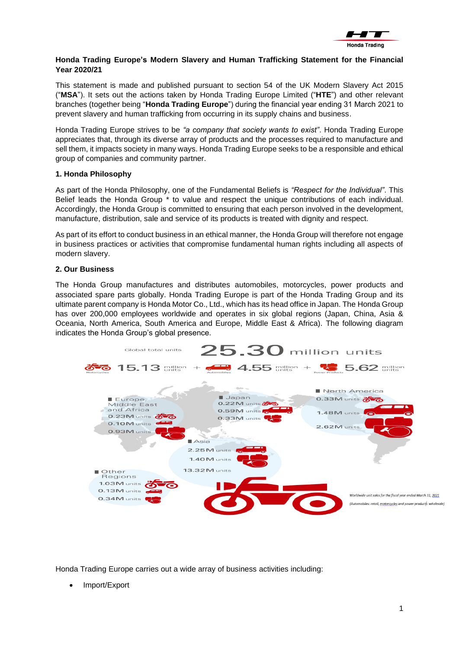

### **Honda Trading Europe's Modern Slavery and Human Trafficking Statement for the Financial Year 2020/21**

This statement is made and published pursuant to section 54 of the UK Modern Slavery Act 2015 ("**MSA**"). It sets out the actions taken by Honda Trading Europe Limited ("**HTE**") and other relevant branches (together being "**Honda Trading Europe**") during the financial year ending 31 March 2021 to prevent slavery and human trafficking from occurring in its supply chains and business.

Honda Trading Europe strives to be *"a company that society wants to exist"*. Honda Trading Europe appreciates that, through its diverse array of products and the processes required to manufacture and sell them, it impacts society in many ways. Honda Trading Europe seeks to be a responsible and ethical group of companies and community partner.

### **1. Honda Philosophy**

As part of the Honda Philosophy, one of the Fundamental Beliefs is *"Respect for the Individual"*. This Belief leads the Honda Group \* to value and respect the unique contributions of each individual. Accordingly, the Honda Group is committed to ensuring that each person involved in the development, manufacture, distribution, sale and service of its products is treated with dignity and respect.

As part of its effort to conduct business in an ethical manner, the Honda Group will therefore not engage in business practices or activities that compromise fundamental human rights including all aspects of modern slavery.

### **2. Our Business**

The Honda Group manufactures and distributes automobiles, motorcycles, power products and associated spare parts globally. Honda Trading Europe is part of the Honda Trading Group and its ultimate parent company is Honda Motor Co., Ltd., which has its head office in Japan. The Honda Group has over 200,000 employees worldwide and operates in six global regions (Japan, China, Asia & Oceania, North America, South America and Europe, Middle East & Africa). The following diagram indicates the Honda Group's global presence.



Honda Trading Europe carries out a wide array of business activities including:

• Import/Export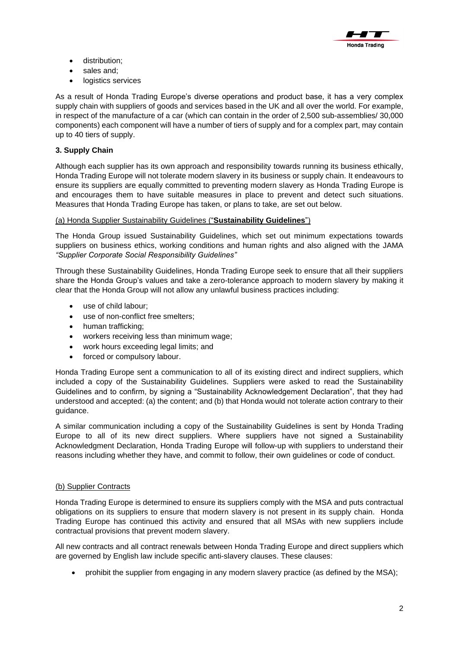

- distribution;
- sales and;
- logistics services

As a result of Honda Trading Europe's diverse operations and product base, it has a very complex supply chain with suppliers of goods and services based in the UK and all over the world. For example, in respect of the manufacture of a car (which can contain in the order of 2,500 sub-assemblies/ 30,000 components) each component will have a number of tiers of supply and for a complex part, may contain up to 40 tiers of supply.

# **3. Supply Chain**

Although each supplier has its own approach and responsibility towards running its business ethically, Honda Trading Europe will not tolerate modern slavery in its business or supply chain. It endeavours to ensure its suppliers are equally committed to preventing modern slavery as Honda Trading Europe is and encourages them to have suitable measures in place to prevent and detect such situations. Measures that Honda Trading Europe has taken, or plans to take, are set out below.

## (a) Honda Supplier Sustainability Guidelines ("**Sustainability Guidelines**")

The Honda Group issued Sustainability Guidelines, which set out minimum expectations towards suppliers on business ethics, working conditions and human rights and also aligned with the JAMA *"Supplier Corporate Social Responsibility Guidelines"*

Through these Sustainability Guidelines, Honda Trading Europe seek to ensure that all their suppliers share the Honda Group's values and take a zero-tolerance approach to modern slavery by making it clear that the Honda Group will not allow any unlawful business practices including:

- use of child labour;
- use of non-conflict free smelters;
- human trafficking;
- workers receiving less than minimum wage;
- work hours exceeding legal limits; and
- forced or compulsory labour.

Honda Trading Europe sent a communication to all of its existing direct and indirect suppliers, which included a copy of the Sustainability Guidelines. Suppliers were asked to read the Sustainability Guidelines and to confirm, by signing a "Sustainability Acknowledgement Declaration", that they had understood and accepted: (a) the content; and (b) that Honda would not tolerate action contrary to their guidance.

A similar communication including a copy of the Sustainability Guidelines is sent by Honda Trading Europe to all of its new direct suppliers. Where suppliers have not signed a Sustainability Acknowledgment Declaration, Honda Trading Europe will follow-up with suppliers to understand their reasons including whether they have, and commit to follow, their own guidelines or code of conduct.

## (b) Supplier Contracts

Honda Trading Europe is determined to ensure its suppliers comply with the MSA and puts contractual obligations on its suppliers to ensure that modern slavery is not present in its supply chain. Honda Trading Europe has continued this activity and ensured that all MSAs with new suppliers include contractual provisions that prevent modern slavery.

All new contracts and all contract renewals between Honda Trading Europe and direct suppliers which are governed by English law include specific anti-slavery clauses. These clauses:

• prohibit the supplier from engaging in any modern slavery practice (as defined by the MSA);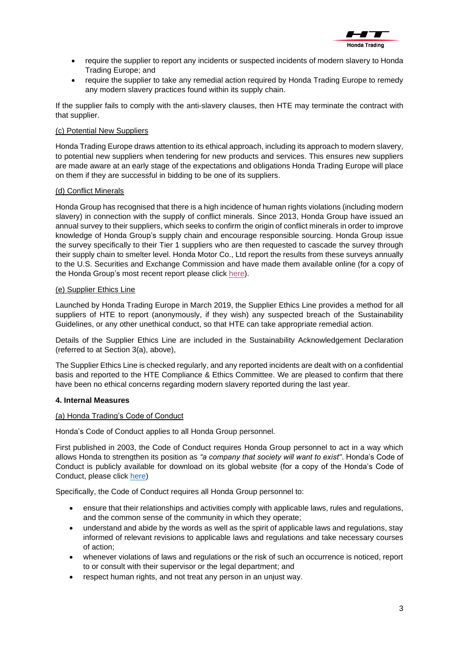

- require the supplier to report any incidents or suspected incidents of modern slavery to Honda Trading Europe; and
- require the supplier to take any remedial action required by Honda Trading Europe to remedy any modern slavery practices found within its supply chain.

If the supplier fails to comply with the anti-slavery clauses, then HTE may terminate the contract with that supplier.

# (c) Potential New Suppliers

Honda Trading Europe draws attention to its ethical approach, including its approach to modern slavery, to potential new suppliers when tendering for new products and services. This ensures new suppliers are made aware at an early stage of the expectations and obligations Honda Trading Europe will place on them if they are successful in bidding to be one of its suppliers.

### (d) Conflict Minerals

Honda Group has recognised that there is a high incidence of human rights violations (including modern slavery) in connection with the supply of conflict minerals. Since 2013, Honda Group have issued an annual survey to their suppliers, which seeks to confirm the origin of conflict minerals in order to improve knowledge of Honda Group's supply chain and encourage responsible sourcing. Honda Group issue the survey specifically to their Tier 1 suppliers who are then requested to cascade the survey through their supply chain to smelter level. Honda Motor Co., Ltd report the results from these surveys annually to the U.S. Securities and Exchange Commission and have made them available online (for a copy of the Honda Group's most recent report please click [here\)](https://global.honda/investors/library/cmr.html).

### (e) Supplier Ethics Line

Launched by Honda Trading Europe in March 2019, the Supplier Ethics Line provides a method for all suppliers of HTE to report (anonymously, if they wish) any suspected breach of the Sustainability Guidelines, or any other unethical conduct, so that HTE can take appropriate remedial action.

Details of the Supplier Ethics Line are included in the Sustainability Acknowledgement Declaration (referred to at Section 3(a), above),

The Supplier Ethics Line is checked regularly, and any reported incidents are dealt with on a confidential basis and reported to the HTE Compliance & Ethics Committee. We are pleased to confirm that there have been no ethical concerns regarding modern slavery reported during the last year.

## **4. Internal Measures**

#### (a) Honda Trading's Code of Conduct

Honda's Code of Conduct applies to all Honda Group personnel.

First published in 2003, the Code of Conduct requires Honda Group personnel to act in a way which allows Honda to strengthen its position as *"a company that society will want to exist"*. Honda's Code of Conduct is publicly available for download on its global website (for a copy of the Honda's Code of Conduct, please click [here\)](https://global.honda/content/dam/site/global/about/cq_img/codeofconduct/pdf/HondaCodeofConduct_en.pdf)

Specifically, the Code of Conduct requires all Honda Group personnel to:

- ensure that their relationships and activities comply with applicable laws, rules and regulations, and the common sense of the community in which they operate;
- understand and abide by the words as well as the spirit of applicable laws and regulations, stay informed of relevant revisions to applicable laws and regulations and take necessary courses of action;
- whenever violations of laws and regulations or the risk of such an occurrence is noticed, report to or consult with their supervisor or the legal department; and
- respect human rights, and not treat any person in an unjust way.